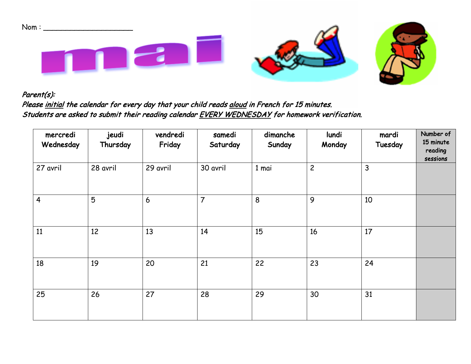

Parent(s):

Please initial the calendar for every day that your child reads aloud in French for 15 minutes. Students are asked to submit their reading calendar EVERY WEDNESDAY for homework verification.

| mercredi<br>Wednesday | jeudi<br>Thursday | vendredi<br>Friday | samedi<br>Saturday | dimanche<br>Sunday | lundi<br>Monday | mardi<br>Tuesday | Number of<br>15 minute<br>reading<br>sessions |
|-----------------------|-------------------|--------------------|--------------------|--------------------|-----------------|------------------|-----------------------------------------------|
| 27 avril              | 28 avril          | 29 avril           | 30 avril           | 1 mai              | $\overline{c}$  | 3                |                                               |
| $\overline{4}$        | 5                 | 6                  | $\overline{7}$     | 8                  | 9               | 10               |                                               |
| 11                    | 12                | 13                 | 14                 | 15                 | 16              | 17               |                                               |
| 18                    | 19                | 20                 | 21                 | 22                 | 23              | 24               |                                               |
| 25                    | 26                | 27                 | 28                 | 29                 | 30              | 31               |                                               |